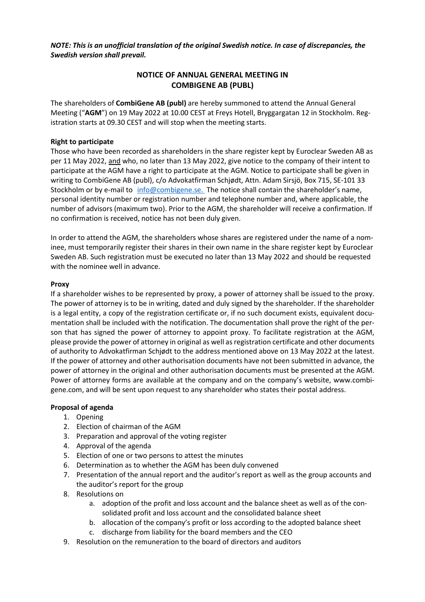*NOTE: This is an unofficial translation of the original Swedish notice. In case of discrepancies, the Swedish version shall prevail.*

# **NOTICE OF ANNUAL GENERAL MEETING IN COMBIGENE AB (PUBL)**

The shareholders of **CombiGene AB (publ)** are hereby summoned to attend the Annual General Meeting ("**AGM**") on 19 May 2022 at 10.00 CEST at Freys Hotell, Bryggargatan 12 in Stockholm. Registration starts at 09.30 CEST and will stop when the meeting starts.

# **Right to participate**

Those who have been recorded as shareholders in the share register kept by Euroclear Sweden AB as per 11 May 2022, and who, no later than 13 May 2022, give notice to the company of their intent to participate at the AGM have a right to participate at the AGM. Notice to participate shall be given in writing to CombiGene AB (publ), c/o Advokatfirman Schjødt, Attn. Adam Sirsjö, Box 715, SE-101 33 Stockholm or by e-mail to [info@combigene.se.](mailto:info@combigene.se.) The notice shall contain the shareholder's name, personal identity number or registration number and telephone number and, where applicable, the number of advisors (maximum two). Prior to the AGM, the shareholder will receive a confirmation. If no confirmation is received, notice has not been duly given.

In order to attend the AGM, the shareholders whose shares are registered under the name of a nominee, must temporarily register their shares in their own name in the share register kept by Euroclear Sweden AB. Such registration must be executed no later than 13 May 2022 and should be requested with the nominee well in advance.

## **Proxy**

If a shareholder wishes to be represented by proxy, a power of attorney shall be issued to the proxy. The power of attorney is to be in writing, dated and duly signed by the shareholder. If the shareholder is a legal entity, a copy of the registration certificate or, if no such document exists, equivalent documentation shall be included with the notification. The documentation shall prove the right of the person that has signed the power of attorney to appoint proxy. To facilitate registration at the AGM, please provide the power of attorney in original as well as registration certificate and other documents of authority to Advokatfirman Schjødt to the address mentioned above on 13 May 2022 at the latest. If the power of attorney and other authorisation documents have not been submitted in advance, the power of attorney in the original and other authorisation documents must be presented at the AGM. Power of attorney forms are available at the company and on the company's website, [www.combi](http://www.combigene.com/)[gene.com,](http://www.combigene.com/) and will be sent upon request to any shareholder who states their postal address.

## **Proposal of agenda**

- 1. Opening
- <span id="page-0-1"></span>2. Election of chairman of the AGM
- 3. Preparation and approval of the voting register
- 4. Approval of the agenda
- 5. Election of one or two persons to attest the minutes
- 6. Determination as to whether the AGM has been duly convened
- 7. Presentation of the annual report and the auditor's report as well as the group accounts and the auditor's report for the group
- 8. Resolutions on
	- a. adoption of the profit and loss account and the balance sheet as well as of the consolidated profit and loss account and the consolidated balance sheet
	- b. allocation of the company's profit or loss according to the adopted balance sheet
	- c. discharge from liability for the board members and the CEO
- <span id="page-0-2"></span><span id="page-0-0"></span>9. Resolution on the remuneration to the board of directors and auditors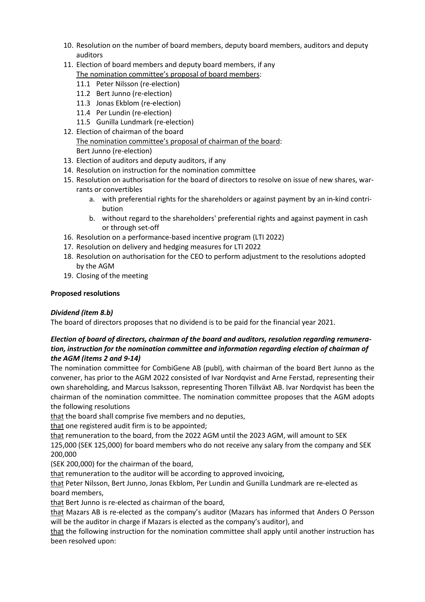- 10. Resolution on the number of board members, deputy board members, auditors and deputy auditors
- 11. Election of board members and deputy board members, if any
	- The nomination committee's proposal of board members:
	- 11.1 Peter Nilsson (re-election)
	- 11.2 Bert Junno (re-election)
	- 11.3 Jonas Ekblom (re-election)
	- 11.4 Per Lundin (re-election)
	- 11.5 Gunilla Lundmark (re-election)
- 12. Election of chairman of the board The nomination committee's proposal of chairman of the board: Bert Junno (re-election)
- 13. Election of auditors and deputy auditors, if any
- <span id="page-1-0"></span>14. Resolution on instruction for the nomination committee
- <span id="page-1-1"></span>15. Resolution on authorisation for the board of directors to resolve on issue of new shares, warrants or convertibles
	- a. with preferential rights for the shareholders or against payment by an in-kind contribution
	- b. without regard to the shareholders' preferential rights and against payment in cash or through set-off
- <span id="page-1-3"></span><span id="page-1-2"></span>16. Resolution on a performance-based incentive program (LTI 2022)
- <span id="page-1-4"></span>17. Resolution on delivery and hedging measures for LTI 2022
- <span id="page-1-5"></span>18. Resolution on authorisation for the CEO to perform adjustment to the resolutions adopted by the AGM
- 19. Closing of the meeting

# **Proposed resolutions**

# *Dividend (item [8.b\)](#page-0-0)*

The board of directors proposes that no dividend is to be paid for the financial year 2021.

# *Election of board of directors, chairman of the board and auditors, resolution regarding remuneration, instruction for the nomination committee and information regarding election of chairman of the AGM (items [2](#page-0-1) and [9](#page-0-2)[-14\)](#page-1-0)*

The nomination committee for CombiGene AB (publ), with chairman of the board Bert Junno as the convener, has prior to the AGM 2022 consisted of Ivar Nordqvist and Arne Ferstad, representing their own shareholding, and Marcus Isaksson, representing Thoren Tillväxt AB. Ivar Nordqvist has been the chairman of the nomination committee. The nomination committee proposes that the AGM adopts the following resolutions

that the board shall comprise five members and no deputies,

that one registered audit firm is to be appointed;

that remuneration to the board, from the 2022 AGM until the 2023 AGM, will amount to SEK

125,000 (SEK 125,000) for board members who do not receive any salary from the company and SEK 200,000

(SEK 200,000) for the chairman of the board,

that remuneration to the auditor will be according to approved invoicing,

that Peter Nilsson, Bert Junno, Jonas Ekblom, Per Lundin and Gunilla Lundmark are re-elected as board members,

that Bert Junno is re-elected as chairman of the board,

that Mazars AB is re-elected as the company's auditor (Mazars has informed that Anders O Persson will be the auditor in charge if Mazars is elected as the company's auditor), and

that the following instruction for the nomination committee shall apply until another instruction has been resolved upon: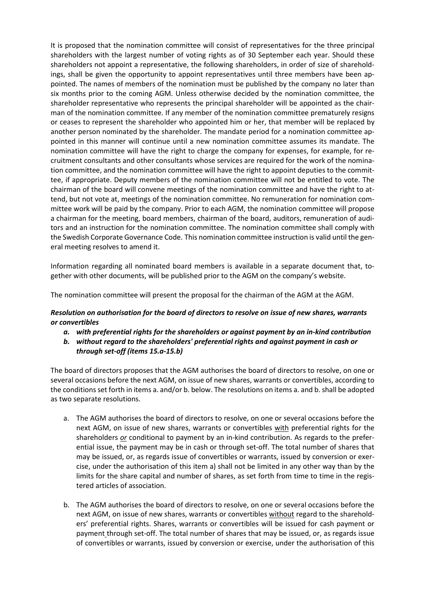It is proposed that the nomination committee will consist of representatives for the three principal shareholders with the largest number of voting rights as of 30 September each year. Should these shareholders not appoint a representative, the following shareholders, in order of size of shareholdings, shall be given the opportunity to appoint representatives until three members have been appointed. The names of members of the nomination must be published by the company no later than six months prior to the coming AGM. Unless otherwise decided by the nomination committee, the shareholder representative who represents the principal shareholder will be appointed as the chairman of the nomination committee. If any member of the nomination committee prematurely resigns or ceases to represent the shareholder who appointed him or her, that member will be replaced by another person nominated by the shareholder. The mandate period for a nomination committee appointed in this manner will continue until a new nomination committee assumes its mandate. The nomination committee will have the right to charge the company for expenses, for example, for recruitment consultants and other consultants whose services are required for the work of the nomination committee, and the nomination committee will have the right to appoint deputies to the committee, if appropriate. Deputy members of the nomination committee will not be entitled to vote. The chairman of the board will convene meetings of the nomination committee and have the right to attend, but not vote at, meetings of the nomination committee. No remuneration for nomination committee work will be paid by the company. Prior to each AGM, the nomination committee will propose a chairman for the meeting, board members, chairman of the board, auditors, remuneration of auditors and an instruction for the nomination committee. The nomination committee shall comply with the Swedish Corporate Governance Code. This nomination committee instruction is valid until the general meeting resolves to amend it.

Information regarding all nominated board members is available in a separate document that, together with other documents, will be published prior to the AGM on the company's website.

The nomination committee will present the proposal for the chairman of the AGM at the AGM.

# *Resolution on authorisation for the board of directors to resolve on issue of new shares, warrants or convertibles*

- *a. with preferential rights for the shareholders or against payment by an in-kind contribution*
- *b. without regard to the shareholders' preferential rights and against payment in cash or through set-off (items [15.a](#page-1-1)[-15.b\)](#page-1-2)*

The board of directors proposes that the AGM authorises the board of directors to resolve, on one or several occasions before the next AGM, on issue of new shares, warrants or convertibles, according to the conditions set forth in items a. and/or b. below. The resolutions on items a. and b. shall be adopted as two separate resolutions.

- a. The AGM authorises the board of directors to resolve, on one or several occasions before the next AGM, on issue of new shares, warrants or convertibles with preferential rights for the shareholders *or* conditional to payment by an in-kind contribution. As regards to the preferential issue, the payment may be in cash or through set-off. The total number of shares that may be issued, or, as regards issue of convertibles or warrants, issued by conversion or exercise, under the authorisation of this item a) shall not be limited in any other way than by the limits for the share capital and number of shares, as set forth from time to time in the registered articles of association.
- b. The AGM authorises the board of directors to resolve, on one or several occasions before the next AGM, on issue of new shares, warrants or convertibles without regard to the shareholders' preferential rights. Shares, warrants or convertibles will be issued for cash payment or payment through set-off. The total number of shares that may be issued, or, as regards issue of convertibles or warrants, issued by conversion or exercise, under the authorisation of this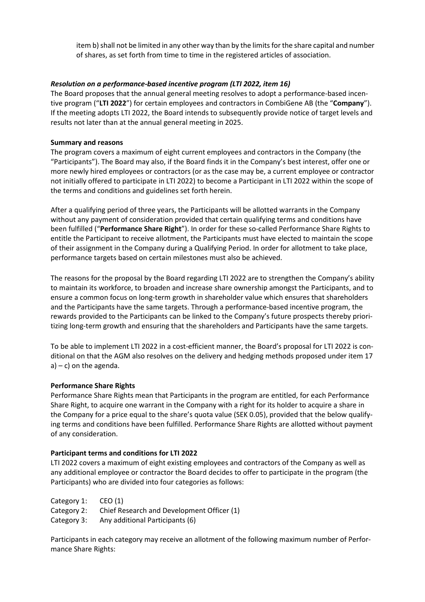item b) shall not be limited in any other way than by the limits for the share capital and number of shares, as set forth from time to time in the registered articles of association.

# *Resolution on a performance-based incentive program (LTI 2022, ite[m 16\)](#page-1-3)*

The Board proposes that the annual general meeting resolves to adopt a performance-based incentive program ("**LTI 2022**") for certain employees and contractors in CombiGene AB (the "**Company**"). If the meeting adopts LTI 2022, the Board intends to subsequently provide notice of target levels and results not later than at the annual general meeting in 2025.

## **Summary and reasons**

The program covers a maximum of eight current employees and contractors in the Company (the "Participants"). The Board may also, if the Board finds it in the Company's best interest, offer one or more newly hired employees or contractors (or as the case may be, a current employee or contractor not initially offered to participate in LTI 2022) to become a Participant in LTI 2022 within the scope of the terms and conditions and guidelines set forth herein.

After a qualifying period of three years, the Participants will be allotted warrants in the Company without any payment of consideration provided that certain qualifying terms and conditions have been fulfilled ("**Performance Share Right**"). In order for these so-called Performance Share Rights to entitle the Participant to receive allotment, the Participants must have elected to maintain the scope of their assignment in the Company during a Qualifying Period. In order for allotment to take place, performance targets based on certain milestones must also be achieved.

The reasons for the proposal by the Board regarding LTI 2022 are to strengthen the Company's ability to maintain its workforce, to broaden and increase share ownership amongst the Participants, and to ensure a common focus on long-term growth in shareholder value which ensures that shareholders and the Participants have the same targets. Through a performance-based incentive program, the rewards provided to the Participants can be linked to the Company's future prospects thereby prioritizing long-term growth and ensuring that the shareholders and Participants have the same targets.

To be able to implement LTI 2022 in a cost-efficient manner, the Board's proposal for LTI 2022 is conditional on that the AGM also resolves on the delivery and hedging methods proposed under item 17  $a$ ) – c) on the agenda.

## **Performance Share Rights**

Performance Share Rights mean that Participants in the program are entitled, for each Performance Share Right, to acquire one warrant in the Company with a right for its holder to acquire a share in the Company for a price equal to the share's quota value (SEK 0.05), provided that the below qualifying terms and conditions have been fulfilled. Performance Share Rights are allotted without payment of any consideration.

## **Participant terms and conditions for LTI 2022**

LTI 2022 covers a maximum of eight existing employees and contractors of the Company as well as any additional employee or contractor the Board decides to offer to participate in the program (the Participants) who are divided into four categories as follows:

Category 1: CEO (1)

Category 2: Chief Research and Development Officer (1)

Category 3: Any additional Participants (6)

Participants in each category may receive an allotment of the following maximum number of Performance Share Rights: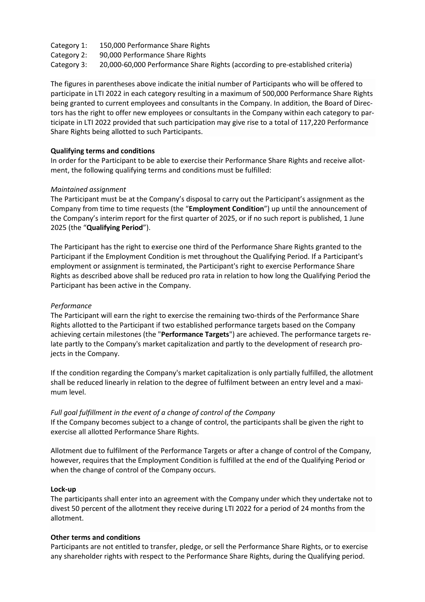- Category 1: 150,000 Performance Share Rights
- Category 2: 90,000 Performance Share Rights
- Category 3: 20,000-60,000 Performance Share Rights (according to pre-established criteria)

The figures in parentheses above indicate the initial number of Participants who will be offered to participate in LTI 2022 in each category resulting in a maximum of 500,000 Performance Share Rights being granted to current employees and consultants in the Company. In addition, the Board of Directors has the right to offer new employees or consultants in the Company within each category to participate in LTI 2022 provided that such participation may give rise to a total of 117,220 Performance Share Rights being allotted to such Participants.

# **Qualifying terms and conditions**

In order for the Participant to be able to exercise their Performance Share Rights and receive allotment, the following qualifying terms and conditions must be fulfilled:

# *Maintained assignment*

The Participant must be at the Company's disposal to carry out the Participant's assignment as the Company from time to time requests (the "**Employment Condition**") up until the announcement of the Company's interim report for the first quarter of 2025, or if no such report is published, 1 June 2025 (the "**Qualifying Period**").

The Participant has the right to exercise one third of the Performance Share Rights granted to the Participant if the Employment Condition is met throughout the Qualifying Period. If a Participant's employment or assignment is terminated, the Participant's right to exercise Performance Share Rights as described above shall be reduced pro rata in relation to how long the Qualifying Period the Participant has been active in the Company.

# *Performance*

The Participant will earn the right to exercise the remaining two-thirds of the Performance Share Rights allotted to the Participant if two established performance targets based on the Company achieving certain milestones (the "**Performance Targets**") are achieved. The performance targets relate partly to the Company's market capitalization and partly to the development of research projects in the Company.

If the condition regarding the Company's market capitalization is only partially fulfilled, the allotment shall be reduced linearly in relation to the degree of fulfilment between an entry level and a maximum level.

## *Full goal fulfillment in the event of a change of control of the Company*

If the Company becomes subject to a change of control, the participants shall be given the right to exercise all allotted Performance Share Rights.

Allotment due to fulfilment of the Performance Targets or after a change of control of the Company, however, requires that the Employment Condition is fulfilled at the end of the Qualifying Period or when the change of control of the Company occurs.

## **Lock-up**

The participants shall enter into an agreement with the Company under which they undertake not to divest 50 percent of the allotment they receive during LTI 2022 for a period of 24 months from the allotment.

## **Other terms and conditions**

Participants are not entitled to transfer, pledge, or sell the Performance Share Rights, or to exercise any shareholder rights with respect to the Performance Share Rights, during the Qualifying period.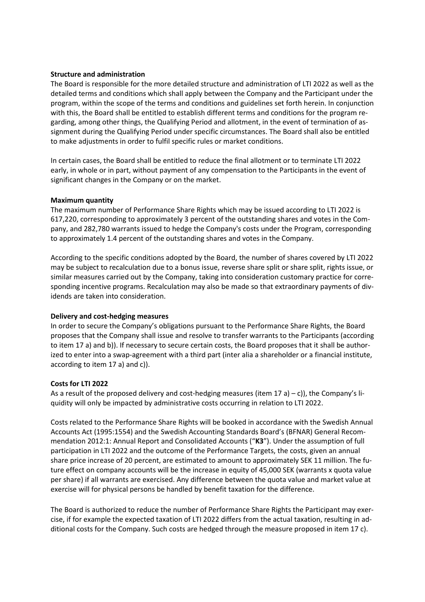### **Structure and administration**

The Board is responsible for the more detailed structure and administration of LTI 2022 as well as the detailed terms and conditions which shall apply between the Company and the Participant under the program, within the scope of the terms and conditions and guidelines set forth herein. In conjunction with this, the Board shall be entitled to establish different terms and conditions for the program regarding, among other things, the Qualifying Period and allotment, in the event of termination of assignment during the Qualifying Period under specific circumstances. The Board shall also be entitled to make adjustments in order to fulfil specific rules or market conditions.

In certain cases, the Board shall be entitled to reduce the final allotment or to terminate LTI 2022 early, in whole or in part, without payment of any compensation to the Participants in the event of significant changes in the Company or on the market.

#### **Maximum quantity**

The maximum number of Performance Share Rights which may be issued according to LTI 2022 is 617,220, corresponding to approximately 3 percent of the outstanding shares and votes in the Company, and 282,780 warrants issued to hedge the Company's costs under the Program, corresponding to approximately 1.4 percent of the outstanding shares and votes in the Company.

According to the specific conditions adopted by the Board, the number of shares covered by LTI 2022 may be subject to recalculation due to a bonus issue, reverse share split or share split, rights issue, or similar measures carried out by the Company, taking into consideration customary practice for corresponding incentive programs. Recalculation may also be made so that extraordinary payments of dividends are taken into consideration.

#### **Delivery and cost-hedging measures**

In order to secure the Company's obligations pursuant to the Performance Share Rights, the Board proposes that the Company shall issue and resolve to transfer warrants to the Participants (according to item 17 a) and b)). If necessary to secure certain costs, the Board proposes that it shall be authorized to enter into a swap-agreement with a third part (inter alia a shareholder or a financial institute, according to item 17 a) and c)).

## **Costs for LTI 2022**

As a result of the proposed delivery and cost-hedging measures (item 17 a) – c)), the Company's liquidity will only be impacted by administrative costs occurring in relation to LTI 2022.

Costs related to the Performance Share Rights will be booked in accordance with the Swedish Annual Accounts Act (1995:1554) and the Swedish Accounting Standards Board's (BFNAR) General Recommendation 2012:1: Annual Report and Consolidated Accounts ("**K3**"). Under the assumption of full participation in LTI 2022 and the outcome of the Performance Targets, the costs, given an annual share price increase of 20 percent, are estimated to amount to approximately SEK 11 million. The future effect on company accounts will be the increase in equity of 45,000 SEK (warrants x quota value per share) if all warrants are exercised. Any difference between the quota value and market value at exercise will for physical persons be handled by benefit taxation for the difference.

The Board is authorized to reduce the number of Performance Share Rights the Participant may exercise, if for example the expected taxation of LTI 2022 differs from the actual taxation, resulting in additional costs for the Company. Such costs are hedged through the measure proposed in item 17 c).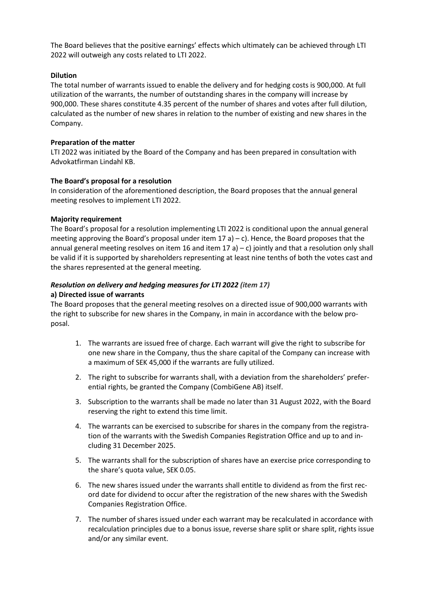The Board believes that the positive earnings' effects which ultimately can be achieved through LTI 2022 will outweigh any costs related to LTI 2022.

# **Dilution**

The total number of warrants issued to enable the delivery and for hedging costs is 900,000. At full utilization of the warrants, the number of outstanding shares in the company will increase by 900,000. These shares constitute 4.35 percent of the number of shares and votes after full dilution, calculated as the number of new shares in relation to the number of existing and new shares in the Company.

# **Preparation of the matter**

LTI 2022 was initiated by the Board of the Company and has been prepared in consultation with Advokatfirman Lindahl KB.

# **The Board's proposal for a resolution**

In consideration of the aforementioned description, the Board proposes that the annual general meeting resolves to implement LTI 2022.

# **Majority requirement**

The Board's proposal for a resolution implementing LTI 2022 is conditional upon the annual general meeting approving the Board's proposal under item  $17$  a) – c). Hence, the Board proposes that the annual general meeting resolves on item 16 and item 17 a) – c) jointly and that a resolution only shall be valid if it is supported by shareholders representing at least nine tenths of both the votes cast and the shares represented at the general meeting.

# *Resolution on delivery and hedging measures for LTI 2022 (item [17\)](#page-1-4)*

# **a) Directed issue of warrants**

The Board proposes that the general meeting resolves on a directed issue of 900,000 warrants with the right to subscribe for new shares in the Company, in main in accordance with the below proposal.

- 1. The warrants are issued free of charge. Each warrant will give the right to subscribe for one new share in the Company, thus the share capital of the Company can increase with a maximum of SEK 45,000 if the warrants are fully utilized.
- 2. The right to subscribe for warrants shall, with a deviation from the shareholders' preferential rights, be granted the Company (CombiGene AB) itself.
- 3. Subscription to the warrants shall be made no later than 31 August 2022, with the Board reserving the right to extend this time limit.
- 4. The warrants can be exercised to subscribe for shares in the company from the registration of the warrants with the Swedish Companies Registration Office and up to and including 31 December 2025.
- 5. The warrants shall for the subscription of shares have an exercise price corresponding to the share's quota value, SEK 0.05.
- 6. The new shares issued under the warrants shall entitle to dividend as from the first record date for dividend to occur after the registration of the new shares with the Swedish Companies Registration Office.
- 7. The number of shares issued under each warrant may be recalculated in accordance with recalculation principles due to a bonus issue, reverse share split or share split, rights issue and/or any similar event.